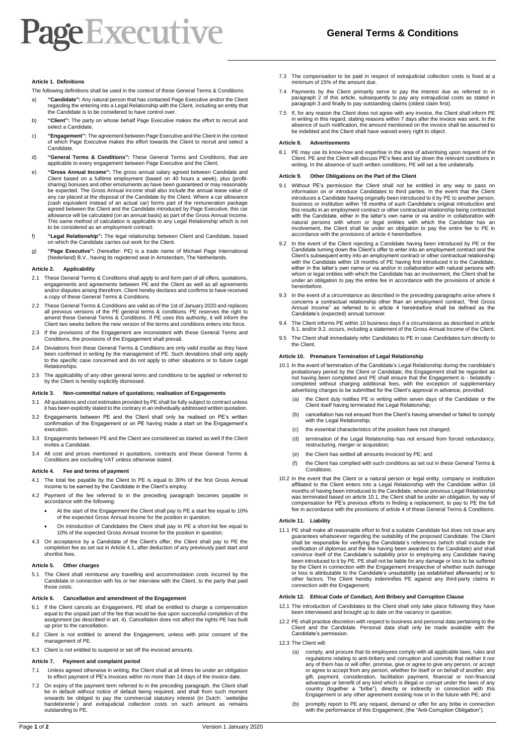## **Page Executive**

## **Article 1. Definitions**

The following definitions shall be used in the context of these General Terms & Conditions:

- a) **"Candidate":** Any natural person that has contacted Page Executive and/or the Client regarding the entering into a Legal Relationship with the Client, including an entity that the Candidate is to be considered to have control over.
- b) **"Client":** The party on whose behalf Page Executive makes the effort to recruit and select a Candidate.
- c) **"Engagement":** The agreement between Page Executive and the Client in the context of which Page Executive makes the effort towards the Client to recruit and select a Candidate.
- d) **"General Terms & Conditions":** These General Terms and Conditions, that are applicable to every engagement between Page Executive and the Client.
- e) **"Gross Annual Income":** The gross annual salary agreed between Candidate and Client based on a fulltime employment (based on 40 hours a week), plus (profitsharing) bonuses and other emoluments as have been guaranteed or may reasonably be expected. The Gross Annual Income shall also include the annual lease value of any car placed at the disposal of the Candidate by the Client. Where a car allowance (cash equivalent instead of an actual car) forms part of the remuneration package agreed between the Client and the Candidate introduced by Page Executive, this car allowance will be calculated (on an annual basis) as part of the Gross Annual Income. This same method of calculation is applicable to any Legal Relationship which is not to be considered as an employment contract.
- f) **"Legal Relationship":** The legal relationship between Client and Candidate, based on which the Candidate carries out work for the Client.
- g) **"Page Executive":** (hereafter: PE) is a trade name of Michael Page International (Nederland) B.V., having its registered seat in Amsterdam, The Netherlands.

#### **Article 2. Applicability**

- These General Terms & Conditions shall apply to and form part of all offers, quotations, engagements and agreements between PE and the Client as well as all agreements and/or disputes arising therefrom. Client hereby declares and confirms to have received a copy of these General Terms & Conditions.
- 2.2 These General Terms & Conditions are valid as of the 1st of January 2020 and replaces all previous versions of the PE general terms & conditions. PE reserves the right to amend these General Terms & Conditions. If PE uses this authority, it will inform the Client two weeks before the new version of the terms and conditions enters into force.
- 2.3 If the provisions of the Engagement are inconsistent with these General Terms and Conditions, the provisions of the Engagement shall prevail.
- Deviations from these General Terms & Conditions are only valid insofar as they have been confirmed in writing by the management of PE. Such deviations shall only apply to the specific case concerned and do not apply to other situations or to future Legal Relationships.
- 2.5 The applicability of any other general terms and conditions to be applied or referred to by the Client is hereby explicitly dismissed.

#### **Article 3. Non-committal nature of quotations; realisation of Engagements**

- 3.1 All quotations and cost estimates provided by PE shall be fully subject to contract unless it has been explicitly stated to the contrary in an individually addressed written quotation.
- 3.2 Engagements between PE and the Client shall only be realised on PE's written confirmation of the Engagement or on PE having made a start on the Engagement's execution.
- 3.3 Engagements between PE and the Client are considered as started as well if the Client invites a Candidate.
- 3.4 All cost and prices mentioned in quotations, contracts and these General Terms & Conditions are excluding VAT unless otherwise stated.

#### **Article 4. Fee and terms of payment**

- 4.1 The total fee payable by the Client to PE is equal to 30% of the first Gross Annual Income to be earned by the Candidate in the Client's employ.
- 4.2 Payment of the fee referred to in the preceding paragraph becomes payable in accordance with the following:
	- At the start of the Engagement the Client shall pay to PE a start fee equal to 10% of the expected Gross Annual Income for the position in question;
	- On introduction of Candidates the Client shall pay to PE a short-list fee equal to 10% of the expected Gross Annual Income for the position in question;
- 4.3 On acceptance by a Candidate of the Client's offer, the Client shall pay to PE the completion fee as set out in Article 4.1, after deduction of any previously paid start and shortlist fees.

#### **Article 5. Other charges**

5.1 The Client shall reimburse any travelling and accommodation costs incurred by the Candidate in connection with his or her interview with the Client, to the party that paid those costs.

### **Article 6. Cancellation and amendment of the Engagement**

- 6.1 If the Client cancels an Engagement, PE shall be entitled to charge a compensation equal to the unpaid part of the fee that would be due upon successful completion of the assignment (as described in art. 4). Cancellation does not affect the rights PE has built up prior to the cancellation.
- 6.2 Client is not entitled to amend the Engagement, unless with prior consent of the management of PE.
- 6.3 Client is not entitled to suspend or set off the invoiced amounts.

#### **Article 7. Payment and complaint period**

- 7.1 Unless agreed otherwise in writing, the Client shall at all times be under an obligation to effect payment of PE's invoices within no more than 14 days of the invoice date
- On expiry of the payment term referred to in the preceding paragraph, the Client shall be in default without notice of default being required, and shall from such moment onwards be obliged to pay the commercial statutory interest (in Dutch: ´wettelijke handelsrente<sup>\*</sup>) and extrajudicial collection costs on such amount as remains outstanding to PE.
- 7.3 The compensation to be paid in respect of extrajudicial collection costs is fixed at a minimum of 15% of the amount due.
- 7.4 Payments by the Client primarily serve to pay the interest due as referred to in paragraph 2 of this article, subsequently to pay any extrajudicial costs as stated in paragraph 3 and finally to pay outstanding claims (oldest claim first).
- 7.5 If, for any reason the Client does not agree with any invoice, the Client shall inform PE in writing in this regard, stating reasons within 7 days after the invoice was sent. In the absence of such notification, the amount mentioned on the invoice shall be assumed to be indebted and the Client shall have waived every right to object.

#### **Article 8. Advertisements**

8.1 PE may use its know-how and expertise in the area of advertising upon request of the Client. PE and the Client will discuss PE's fees and lay down the relevant conditions in writing. In the absence of such written conditions, PE will set a fee unilaterally.

#### **Article 9. Other Obligations on the Part of the Client**

- 9.1 Without PE's permission the Client shall not be entitled in any way to pass on information on or introduce Candidates to third parties. In the event that the Client introduces a Candidate having originally been introduced to it by PE to another person, business or institution within 18 months of such Candidate's original introduction and this results in an employment contract or other contractual relationship being contracted<br>with the Candidate, either in the latter's own name or via and/or in collaboration with<br>natural persons with whom or legal entities accordance with the provisions of article 4 hereinbefore.
- In the event of the Client rejecting a Candidate having been introduced by PE or the Candidate turning down the Client's offer to enter into an employment contract and the Client's subsequent entry into an employment contract or other contractual relationship with the Candidate within 18 months of PE having first introduced it to the Candidate, either in the latter's own name or via and/or in collaboration with natural persons with whom or legal entities with which the Candidate has an involvement, the Client shall be under an obligation to pay the entire fee in accordance with the provisions of article 4 hereinbefore.
- 9.3 In the event of a circumstance as described in the preceding paragraphs arise where it concerns a contractual relationship other than an employment contract, "first Gross Annual Income" as referred to in article 4 hereinbefore shall be defined as the Candidate's (expected) annual turnover.
- The Client informs PE within 10 business days if a circumstance as described in article 9.1. and/or 9.2. occurs, including a statement of the Gross Annual Income of the Client.
- 9.5 The Client shall immediately refer Candidates to PE in case Candidates turn directly to the Client.

#### **Article 10. Premature Termination of Legal Relationship**

- 10.1 In the event of termination of the Candidate's Legal Relationship during the candidate's probationary period by the Client or Candidate, the Engagement shall be regarded as not having been completed and PE shall ensure that the Engagement is - belatedly completed without charging additional fees, with the exception of supplementary advertising charges to be submitted for the Client's approval in advance, provided:
	- (a) the Client duly notifies PE in writing within seven days of the Candidate or the Client itself having terminated the Legal Relationship;
	- (b) cancellation has not ensued from the Client's having amended or failed to comply with the Legal Relationship;
	- (c) the essential characteristics of the position have not changed;
	- (d) termination of the Legal Relationship has not ensued from forced redundancy, restructuring, merger or acquisition;
	- (e) the Client has settled all amounts invoiced by PE; and
	- (f) the Client has complied with such conditions as set out in these General Terms & Conditions.
- 10.2 In the event that the Client or a natural person or legal entity, company or institution affiliated to the Client enters into a Legal Relationship with the Candidate within 18 months of having been introduced to the Candidate, whose previous Legal Relationship was terminated based on article 10.1, the Client shall be under an obligation, by way of compensation for PE's previous efforts in finding a replacement, to pay to PE the full fee in accordance with the provisions of article 4 of these General Terms & Conditions.

## **Article 11. Liability**

11.1 PE shall make all reasonable effort to find a suitable Candidate but does not issue any guarantees whatsoever regarding the suitability of the proposed Candidate. The Client shall be responsible for verifying the Candidate's references (which shall include the verification of diplomas and the like having been awarded to the Candidate) and shall convince itself of the Candidate's suitability prior to employing any Candidate having<br>been introduced to it by PE. PE shall not be liable for any damage or loss to be suffered<br>by the Client in connection with the Engageme or loss is attributable to the Candidate's unsuitability (as established afterwards) or to other factors. The Client hereby indemnifies PE against any third-party claims in connection with the Engagement.

#### **Article 12. Ethical Code of Conduct, Anti Bribery and Corruption Clause**

- 12.1 The introduction of Candidates to the Client shall only take place following they have been interviewed and brought up to date on the vacancy in question.
- 12.2 PE shall practise discretion with respect to business and personal data pertaining to the Client and the Candidate. Personal data shall only be made available with the Candidate's permission.
- 12.3 The Client will:
	- (a) comply, and procure that its employees comply with all applicable laws, rules and regulations relating to anti-bribery and corruption and commits that neither it nor any of them has or will offer, promise, give or agree to give any person, or accept or agree to accept from any person, whether for itself or on behalf of another, any gift, payment, consideration, facilitation payment, financial or non-financial<br>advantage or benefit of any kind which is illegal or corrupt under the laws of any<br>country (together a "bribe"), directly or indirectly in conn
	- (b) promptly report to PE any request, demand or offer for any bribe in connection with the performance of this Engagement; (the "Anti-Corruption Obligation").